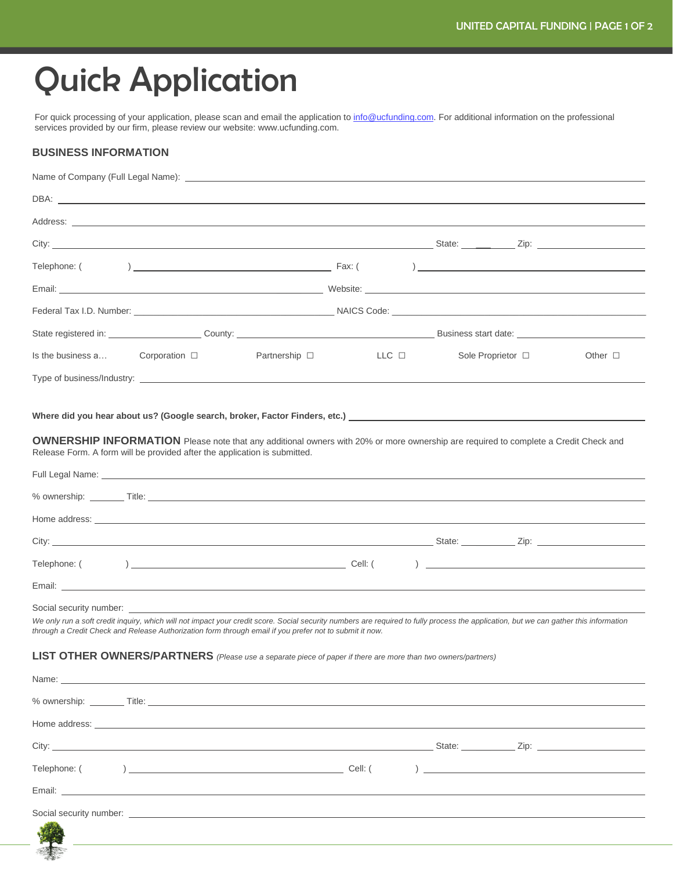## Quick Application

For quick processing of your application, please scan and email the application t[o info@ucfunding.com.](mailto:info@ucfunding.com) For additional information on the professional services provided by our firm, please review our website: [www.ucfunding.com](http://www.ucfunding.com/).

## **BUSINESS INFORMATION**

**START** 

|                                                                                                                                                                                                                                                                                                                             | DBA: www.communication.com/web/2010/07/2010                                                                                                                                                                                          |               |       |  |                                                                                                                                                                                                                                      |              |
|-----------------------------------------------------------------------------------------------------------------------------------------------------------------------------------------------------------------------------------------------------------------------------------------------------------------------------|--------------------------------------------------------------------------------------------------------------------------------------------------------------------------------------------------------------------------------------|---------------|-------|--|--------------------------------------------------------------------------------------------------------------------------------------------------------------------------------------------------------------------------------------|--------------|
|                                                                                                                                                                                                                                                                                                                             |                                                                                                                                                                                                                                      |               |       |  |                                                                                                                                                                                                                                      |              |
|                                                                                                                                                                                                                                                                                                                             |                                                                                                                                                                                                                                      |               |       |  |                                                                                                                                                                                                                                      |              |
| Telephone: (                                                                                                                                                                                                                                                                                                                |                                                                                                                                                                                                                                      |               |       |  |                                                                                                                                                                                                                                      |              |
|                                                                                                                                                                                                                                                                                                                             |                                                                                                                                                                                                                                      |               |       |  | Email: 2008. [2013] Metal Assembly Department of the United States of the United States of the United States of the United States of the United States of the United States of the United States of the United States of the U       |              |
|                                                                                                                                                                                                                                                                                                                             |                                                                                                                                                                                                                                      |               |       |  |                                                                                                                                                                                                                                      |              |
|                                                                                                                                                                                                                                                                                                                             |                                                                                                                                                                                                                                      |               |       |  |                                                                                                                                                                                                                                      |              |
| Is the business a                                                                                                                                                                                                                                                                                                           | Corporation $\square$                                                                                                                                                                                                                | Partnership □ | LLC D |  | Sole Proprietor □                                                                                                                                                                                                                    | Other $\Box$ |
|                                                                                                                                                                                                                                                                                                                             |                                                                                                                                                                                                                                      |               |       |  |                                                                                                                                                                                                                                      |              |
|                                                                                                                                                                                                                                                                                                                             |                                                                                                                                                                                                                                      |               |       |  |                                                                                                                                                                                                                                      |              |
|                                                                                                                                                                                                                                                                                                                             |                                                                                                                                                                                                                                      |               |       |  | Where did you hear about us? (Google search, broker, Factor Finders, etc.) __________________________________                                                                                                                        |              |
| <b>OWNERSHIP INFORMATION</b> Please note that any additional owners with 20% or more ownership are required to complete a Credit Check and<br>Release Form. A form will be provided after the application is submitted.                                                                                                     |                                                                                                                                                                                                                                      |               |       |  |                                                                                                                                                                                                                                      |              |
|                                                                                                                                                                                                                                                                                                                             |                                                                                                                                                                                                                                      |               |       |  |                                                                                                                                                                                                                                      |              |
|                                                                                                                                                                                                                                                                                                                             |                                                                                                                                                                                                                                      |               |       |  |                                                                                                                                                                                                                                      |              |
|                                                                                                                                                                                                                                                                                                                             |                                                                                                                                                                                                                                      |               |       |  | Home address: <u>example and the set of the set of the set of the set of the set of the set of the set of the set of the set of the set of the set of the set of the set of the set of the set of the set of the set of the set </u> |              |
|                                                                                                                                                                                                                                                                                                                             |                                                                                                                                                                                                                                      |               |       |  |                                                                                                                                                                                                                                      |              |
|                                                                                                                                                                                                                                                                                                                             |                                                                                                                                                                                                                                      |               |       |  |                                                                                                                                                                                                                                      |              |
|                                                                                                                                                                                                                                                                                                                             |                                                                                                                                                                                                                                      |               |       |  |                                                                                                                                                                                                                                      |              |
| Social security number:<br>We only run a soft credit inquiry, which will not impact your credit score. Social security numbers are required to fully process the application, but we can gather this information<br>through a Credit Check and Release Authorization form through email if you prefer not to submit it now. |                                                                                                                                                                                                                                      |               |       |  |                                                                                                                                                                                                                                      |              |
| LIST OTHER OWNERS/PARTNERS (Please use a separate piece of paper if there are more than two owners/partners)                                                                                                                                                                                                                |                                                                                                                                                                                                                                      |               |       |  |                                                                                                                                                                                                                                      |              |
|                                                                                                                                                                                                                                                                                                                             |                                                                                                                                                                                                                                      |               |       |  |                                                                                                                                                                                                                                      |              |
|                                                                                                                                                                                                                                                                                                                             |                                                                                                                                                                                                                                      |               |       |  |                                                                                                                                                                                                                                      |              |
|                                                                                                                                                                                                                                                                                                                             |                                                                                                                                                                                                                                      |               |       |  |                                                                                                                                                                                                                                      |              |
|                                                                                                                                                                                                                                                                                                                             |                                                                                                                                                                                                                                      |               |       |  |                                                                                                                                                                                                                                      |              |
|                                                                                                                                                                                                                                                                                                                             |                                                                                                                                                                                                                                      |               |       |  |                                                                                                                                                                                                                                      |              |
|                                                                                                                                                                                                                                                                                                                             |                                                                                                                                                                                                                                      |               |       |  |                                                                                                                                                                                                                                      |              |
|                                                                                                                                                                                                                                                                                                                             | Social security number: <u>example and contract and contract and contract and contract and contract and contract and contract and contract and contract and contract and contract and contract and contract and contract and con</u> |               |       |  |                                                                                                                                                                                                                                      |              |